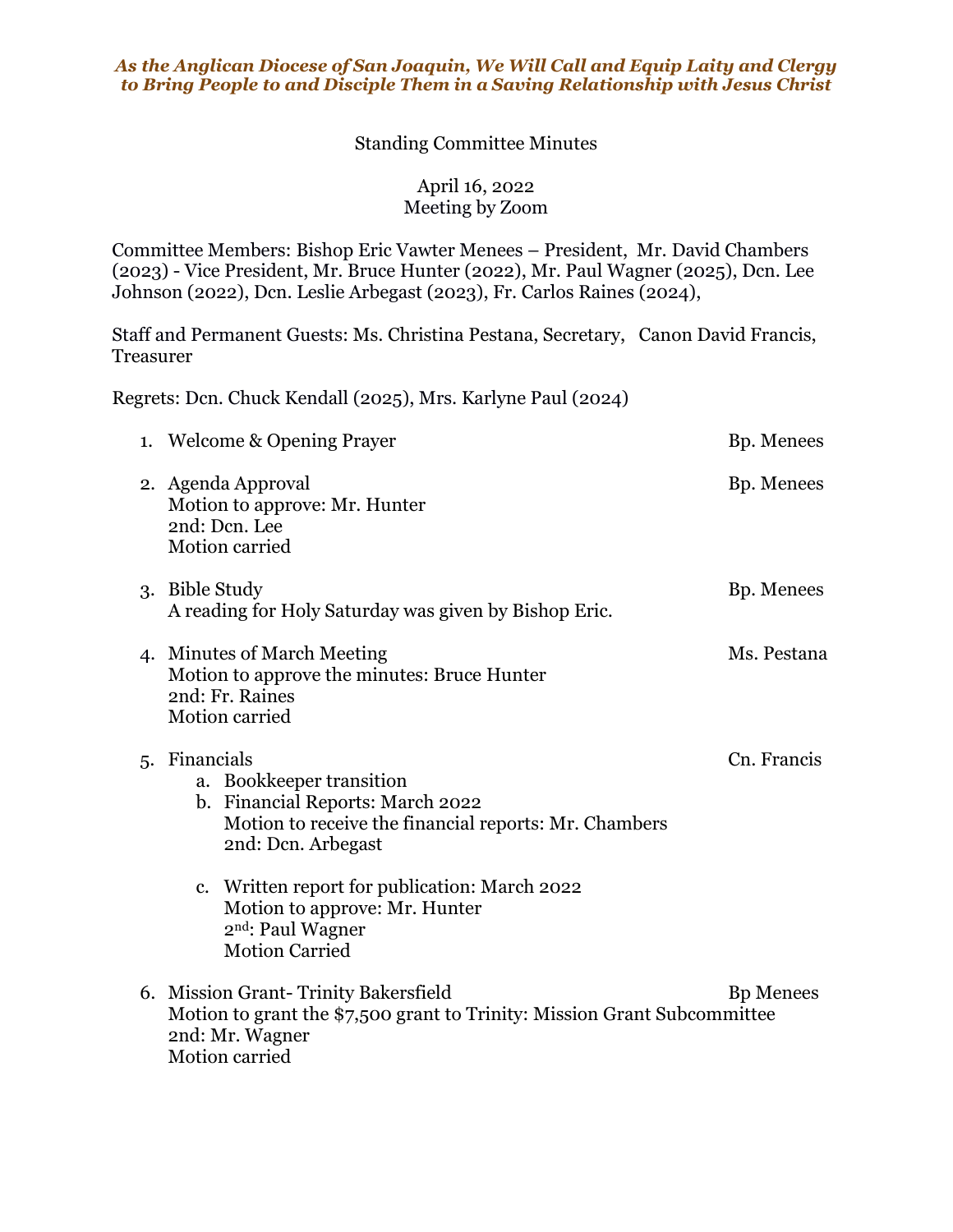## *As the Anglican Diocese of San Joaquin, We Will Call and Equip Laity and Clergy to Bring People to and Disciple Them in a Saving Relationship with Jesus Christ*

## Standing Committee Minutes

April 16, 2022 Meeting by Zoom

Committee Members: Bishop Eric Vawter Menees – President, Mr. David Chambers (2023) - Vice President, Mr. Bruce Hunter (2022), Mr. Paul Wagner (2025), Dcn. Lee Johnson (2022), Dcn. Leslie Arbegast (2023), Fr. Carlos Raines (2024),

Staff and Permanent Guests: Ms. Christina Pestana, Secretary, Canon David Francis, Treasurer

Regrets: Dcn. Chuck Kendall (2025), Mrs. Karlyne Paul (2024)

| 1. Welcome & Opening Prayer                                                                                                                                  | Bp. Menees       |
|--------------------------------------------------------------------------------------------------------------------------------------------------------------|------------------|
| 2. Agenda Approval<br>Motion to approve: Mr. Hunter<br>2nd: Dcn. Lee<br>Motion carried                                                                       | Bp. Menees       |
| 3. Bible Study<br>A reading for Holy Saturday was given by Bishop Eric.                                                                                      | Bp. Menees       |
| 4. Minutes of March Meeting<br>Motion to approve the minutes: Bruce Hunter<br>2nd: Fr. Raines<br>Motion carried                                              | Ms. Pestana      |
| 5. Financials<br>a. Bookkeeper transition<br>b. Financial Reports: March 2022<br>Motion to receive the financial reports: Mr. Chambers<br>2nd: Dcn. Arbegast | Cn. Francis      |
| c. Written report for publication: March 2022<br>Motion to approve: Mr. Hunter<br>2 <sup>nd</sup> : Paul Wagner<br><b>Motion Carried</b>                     |                  |
| 6. Mission Grant-Trinity Bakersfield<br>Motion to grant the \$7,500 grant to Trinity: Mission Grant Subcommittee<br>2nd: Mr. Wagner<br>Motion carried        | <b>Bp</b> Menees |